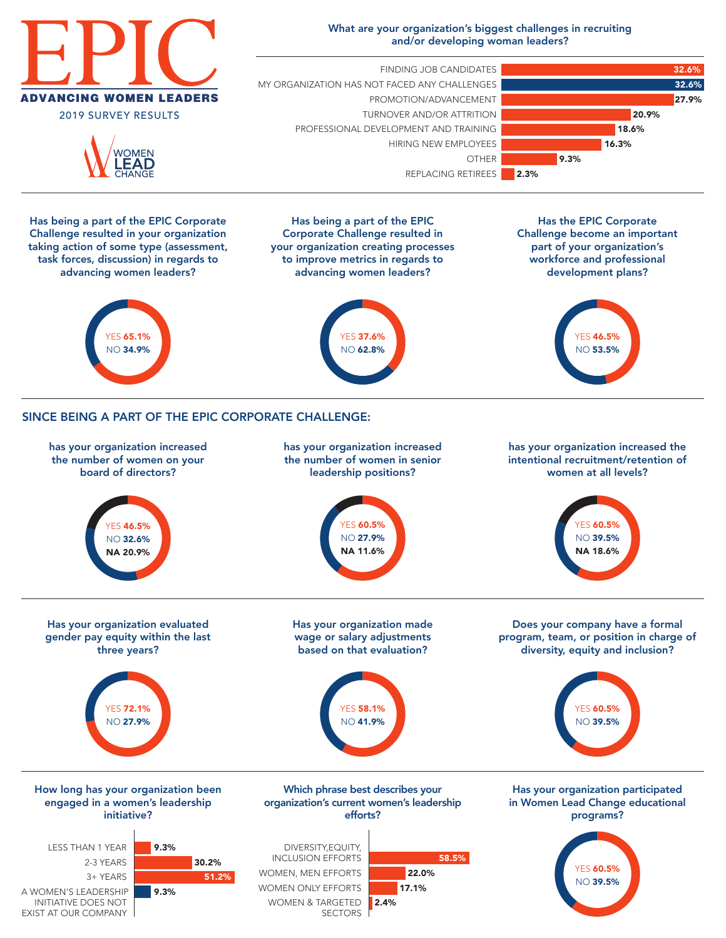